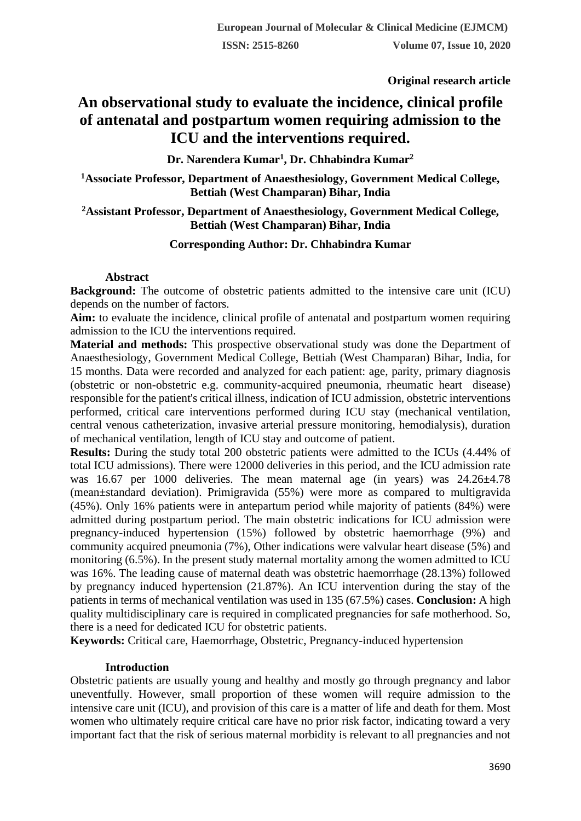**Original research article** 

# **An observational study to evaluate the incidence, clinical profile of antenatal and postpartum women requiring admission to the ICU and the interventions required.**

**Dr. Narendera Kumar<sup>1</sup> , Dr. Chhabindra Kumar<sup>2</sup>**

**<sup>1</sup>Associate Professor, Department of Anaesthesiology, Government Medical College, Bettiah (West Champaran) Bihar, India**

**<sup>2</sup>Assistant Professor, Department of Anaesthesiology, Government Medical College, Bettiah (West Champaran) Bihar, India**

# **Corresponding Author: Dr. Chhabindra Kumar**

# **Abstract**

**Background:** The outcome of obstetric patients admitted to the intensive care unit (ICU) depends on the number of factors.

Aim: to evaluate the incidence, clinical profile of antenatal and postpartum women requiring admission to the ICU the interventions required.

**Material and methods:** This prospective observational study was done the Department of Anaesthesiology, Government Medical College, Bettiah (West Champaran) Bihar, India, for 15 months. Data were recorded and analyzed for each patient: age, parity, primary diagnosis (obstetric or non-obstetric e.g. community-acquired pneumonia, rheumatic heart disease) responsible for the patient's critical illness, indication of ICU admission, obstetric interventions performed, critical care interventions performed during ICU stay (mechanical ventilation, central venous catheterization, invasive arterial pressure monitoring, hemodialysis), duration of mechanical ventilation, length of ICU stay and outcome of patient.

**Results:** During the study total 200 obstetric patients were admitted to the ICUs (4.44% of total ICU admissions). There were 12000 deliveries in this period, and the ICU admission rate was 16.67 per 1000 deliveries. The mean maternal age (in years) was 24.26±4.78 (mean±standard deviation). Primigravida (55%) were more as compared to multigravida (45%). Only 16% patients were in antepartum period while majority of patients (84%) were admitted during postpartum period. The main obstetric indications for ICU admission were pregnancy-induced hypertension (15%) followed by obstetric haemorrhage (9%) and community acquired pneumonia (7%), Other indications were valvular heart disease (5%) and monitoring (6.5%). In the present study maternal mortality among the women admitted to ICU was 16%. The leading cause of maternal death was obstetric haemorrhage (28.13%) followed by pregnancy induced hypertension (21.87%). An ICU intervention during the stay of the patients in terms of mechanical ventilation was used in 135 (67.5%) cases. **Conclusion:** A high quality multidisciplinary care is required in complicated pregnancies for safe motherhood. So, there is a need for dedicated ICU for obstetric patients.

**Keywords:** Critical care, Haemorrhage, Obstetric, Pregnancy-induced hypertension

## **Introduction**

Obstetric patients are usually young and healthy and mostly go through pregnancy and labor uneventfully. However, small proportion of these women will require admission to the intensive care unit (ICU), and provision of this care is a matter of life and death for them. Most women who ultimately require critical care have no prior risk factor, indicating toward a very important fact that the risk of serious maternal morbidity is relevant to all pregnancies and not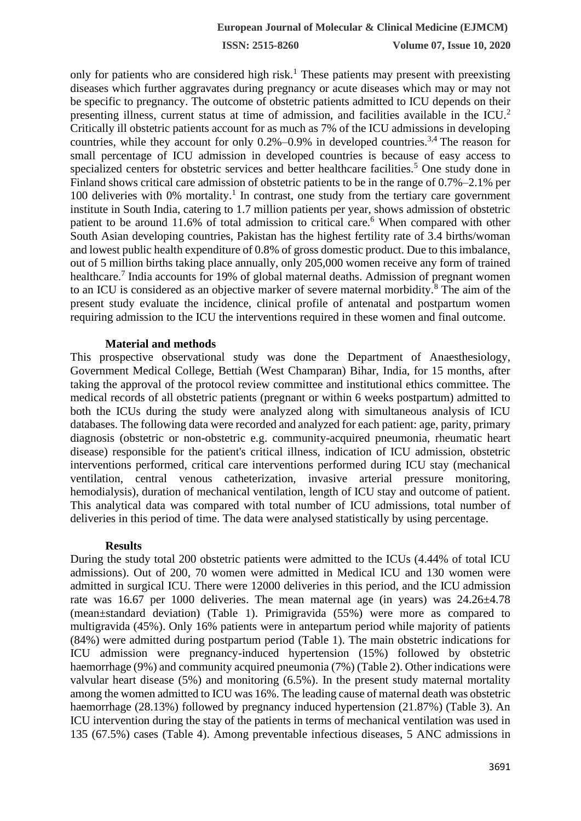only for patients who are considered high risk.<sup>1</sup> These patients may present with preexisting diseases which further aggravates during pregnancy or acute diseases which may or may not be specific to pregnancy. The outcome of obstetric patients admitted to ICU depends on their presenting illness, current status at time of admission, and facilities available in the ICU.<sup>2</sup> Critically ill obstetric patients account for as much as 7% of the ICU admissions in developing countries, while they account for only  $0.2\%$ –0.9% in developed countries.<sup>3,4</sup> The reason for small percentage of ICU admission in developed countries is because of easy access to specialized centers for obstetric services and better healthcare facilities.<sup>5</sup> One study done in Finland shows critical care admission of obstetric patients to be in the range of 0.7%–2.1% per 100 deliveries with 0% mortality.<sup>1</sup> In contrast, one study from the tertiary care government institute in South India, catering to 1.7 million patients per year, shows admission of obstetric patient to be around 11.6% of total admission to critical care.<sup>6</sup> When compared with other South Asian developing countries, Pakistan has the highest fertility rate of 3.4 births/woman and lowest public health expenditure of 0.8% of gross domestic product. Due to this imbalance, out of 5 million births taking place annually, only 205,000 women receive any form of trained healthcare.<sup>7</sup> India accounts for 19% of global maternal deaths. Admission of pregnant women to an ICU is considered as an objective marker of severe maternal morbidity.<sup>8</sup> The aim of the present study evaluate the incidence, clinical profile of antenatal and postpartum women requiring admission to the ICU the interventions required in these women and final outcome.

#### **Material and methods**

This prospective observational study was done the Department of Anaesthesiology, Government Medical College, Bettiah (West Champaran) Bihar, India, for 15 months, after taking the approval of the protocol review committee and institutional ethics committee. The medical records of all obstetric patients (pregnant or within 6 weeks postpartum) admitted to both the ICUs during the study were analyzed along with simultaneous analysis of ICU databases. The following data were recorded and analyzed for each patient: age, parity, primary diagnosis (obstetric or non-obstetric e.g. community-acquired pneumonia, rheumatic heart disease) responsible for the patient's critical illness, indication of ICU admission, obstetric interventions performed, critical care interventions performed during ICU stay (mechanical ventilation, central venous catheterization, invasive arterial pressure monitoring, hemodialysis), duration of mechanical ventilation, length of ICU stay and outcome of patient. This analytical data was compared with total number of ICU admissions, total number of deliveries in this period of time. The data were analysed statistically by using percentage.

## **Results**

During the study total 200 obstetric patients were admitted to the ICUs (4.44% of total ICU admissions). Out of 200, 70 women were admitted in Medical ICU and 130 women were admitted in surgical ICU. There were 12000 deliveries in this period, and the ICU admission rate was 16.67 per 1000 deliveries. The mean maternal age (in years) was 24.26±4.78 (mean±standard deviation) (Table 1). Primigravida (55%) were more as compared to multigravida (45%). Only 16% patients were in antepartum period while majority of patients (84%) were admitted during postpartum period (Table 1). The main obstetric indications for ICU admission were pregnancy-induced hypertension (15%) followed by obstetric haemorrhage (9%) and community acquired pneumonia (7%) (Table 2). Other indications were valvular heart disease (5%) and monitoring (6.5%). In the present study maternal mortality among the women admitted to ICU was 16%. The leading cause of maternal death was obstetric haemorrhage (28.13%) followed by pregnancy induced hypertension (21.87%) (Table 3). An ICU intervention during the stay of the patients in terms of mechanical ventilation was used in 135 (67.5%) cases (Table 4). Among preventable infectious diseases, 5 ANC admissions in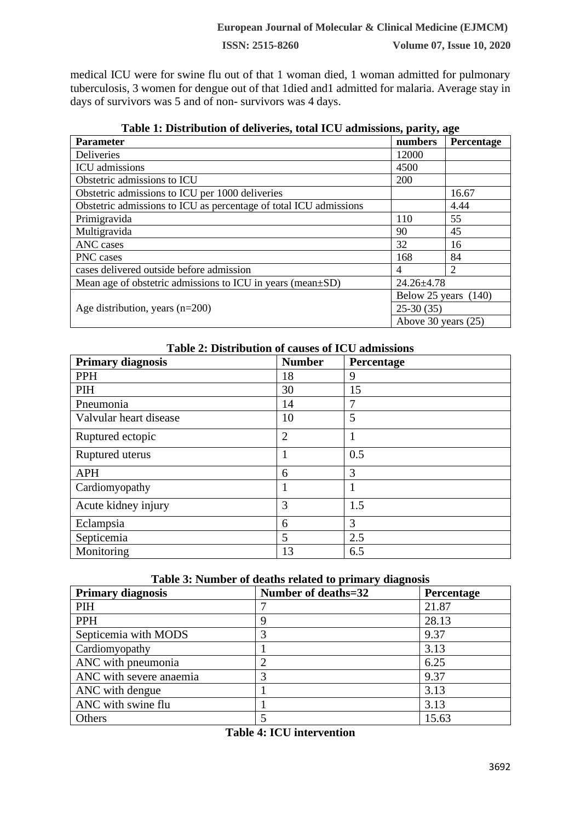medical ICU were for swine flu out of that 1 woman died, 1 woman admitted for pulmonary tuberculosis, 3 women for dengue out of that 1died and1 admitted for malaria. Average stay in days of survivors was 5 and of non- survivors was 4 days.

| radio 11 Distribution of achiveres, total recontributions, partty, ago |                       |                             |  |
|------------------------------------------------------------------------|-----------------------|-----------------------------|--|
| <b>Parameter</b>                                                       | numbers               | Percentage                  |  |
| <b>Deliveries</b>                                                      | 12000                 |                             |  |
| ICU admissions                                                         | 4500                  |                             |  |
| Obstetric admissions to ICU                                            | 200                   |                             |  |
| Obstetric admissions to ICU per 1000 deliveries                        |                       | 16.67                       |  |
| Obstetric admissions to ICU as percentage of total ICU admissions      |                       | 4.44                        |  |
| Primigravida                                                           | 110                   | 55                          |  |
| Multigravida                                                           | 90                    | 45                          |  |
| ANC cases                                                              | 32                    | 16                          |  |
| PNC cases                                                              | 168                   | 84                          |  |
| cases delivered outside before admission                               | 4                     | $\mathcal{D}_{\mathcal{L}}$ |  |
| Mean age of obstetric admissions to ICU in years (mean $\pm$ SD)       | $24.26 \pm 4.78$      |                             |  |
|                                                                        | Below 25 years (140)  |                             |  |
| Age distribution, years $(n=200)$                                      | $25-30(35)$           |                             |  |
|                                                                        | Above 30 years $(25)$ |                             |  |

| Table 1: Distribution of deliveries, total ICU admissions, parity, age |
|------------------------------------------------------------------------|
|------------------------------------------------------------------------|

# **Table 2: Distribution of causes of ICU admissions**

| <b>Primary diagnosis</b> | <b>Number</b>  | Percentage |
|--------------------------|----------------|------------|
| PPH                      | 18             | 9          |
| PIH                      | 30             | 15         |
| Pneumonia                | 14             | 7          |
| Valvular heart disease   | 10             | 5          |
| Ruptured ectopic         | $\overline{2}$ | 1          |
| Ruptured uterus          | 1              | 0.5        |
| <b>APH</b>               | 6              | 3          |
| Cardiomyopathy           |                |            |
| Acute kidney injury      | 3              | 1.5        |
| Eclampsia                | 6              | 3          |
| Septicemia               | 5              | 2.5        |
| Monitoring               | 13             | 6.5        |

#### **Table 3: Number of deaths related to primary diagnosis**

| <b>Primary diagnosis</b> | Number of deaths=32 | Percentage |
|--------------------------|---------------------|------------|
| <b>PIH</b>               |                     | 21.87      |
| <b>PPH</b>               | 9                   | 28.13      |
| Septicemia with MODS     |                     | 9.37       |
| Cardiomyopathy           |                     | 3.13       |
| ANC with pneumonia       |                     | 6.25       |
| ANC with severe anaemia  | 3                   | 9.37       |
| ANC with dengue          |                     | 3.13       |
| ANC with swine flu       |                     | 3.13       |
| Others                   |                     | 15.63      |

|  | <b>Table 4: ICU intervention</b> |
|--|----------------------------------|
|--|----------------------------------|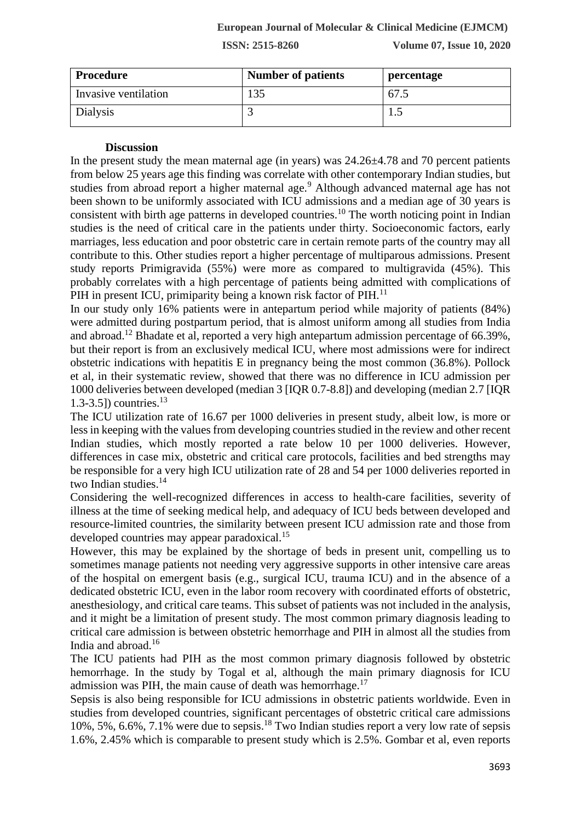| Procedure            | <b>Number of patients</b> | percentage |
|----------------------|---------------------------|------------|
| Invasive ventilation | 135                       | 67.5       |
| Dialysis             |                           |            |

#### **Discussion**

In the present study the mean maternal age (in years) was 24.26±4.78 and 70 percent patients from below 25 years age this finding was correlate with other contemporary Indian studies, but studies from abroad report a higher maternal age.<sup>9</sup> Although advanced maternal age has not been shown to be uniformly associated with ICU admissions and a median age of 30 years is consistent with birth age patterns in developed countries.<sup>10</sup> The worth noticing point in Indian studies is the need of critical care in the patients under thirty. Socioeconomic factors, early marriages, less education and poor obstetric care in certain remote parts of the country may all contribute to this. Other studies report a higher percentage of multiparous admissions. Present study reports Primigravida (55%) were more as compared to multigravida (45%). This probably correlates with a high percentage of patients being admitted with complications of PIH in present ICU, primiparity being a known risk factor of PIH.<sup>11</sup>

In our study only 16% patients were in antepartum period while majority of patients (84%) were admitted during postpartum period, that is almost uniform among all studies from India and abroad.<sup>12</sup> Bhadate et al, reported a very high antepartum admission percentage of 66.39%, but their report is from an exclusively medical ICU, where most admissions were for indirect obstetric indications with hepatitis E in pregnancy being the most common (36.8%). Pollock et al, in their systematic review, showed that there was no difference in ICU admission per 1000 deliveries between developed (median 3 [IQR 0.7-8.8]) and developing (median 2.7 [IQR 1.3-3.5]) countries.<sup>13</sup>

The ICU utilization rate of 16.67 per 1000 deliveries in present study, albeit low, is more or less in keeping with the values from developing countries studied in the review and other recent Indian studies, which mostly reported a rate below 10 per 1000 deliveries. However, differences in case mix, obstetric and critical care protocols, facilities and bed strengths may be responsible for a very high ICU utilization rate of 28 and 54 per 1000 deliveries reported in two Indian studies.<sup>14</sup>

Considering the well-recognized differences in access to health-care facilities, severity of illness at the time of seeking medical help, and adequacy of ICU beds between developed and resource-limited countries, the similarity between present ICU admission rate and those from developed countries may appear paradoxical.<sup>15</sup>

However, this may be explained by the shortage of beds in present unit, compelling us to sometimes manage patients not needing very aggressive supports in other intensive care areas of the hospital on emergent basis (e.g., surgical ICU, trauma ICU) and in the absence of a dedicated obstetric ICU, even in the labor room recovery with coordinated efforts of obstetric, anesthesiology, and critical care teams. This subset of patients was not included in the analysis, and it might be a limitation of present study. The most common primary diagnosis leading to critical care admission is between obstetric hemorrhage and PIH in almost all the studies from India and abroad.<sup>16</sup>

The ICU patients had PIH as the most common primary diagnosis followed by obstetric hemorrhage. In the study by Togal et al, although the main primary diagnosis for ICU admission was PIH, the main cause of death was hemorrhage.<sup>17</sup>

Sepsis is also being responsible for ICU admissions in obstetric patients worldwide. Even in studies from developed countries, significant percentages of obstetric critical care admissions 10%, 5%, 6.6%, 7.1% were due to sepsis.<sup>18</sup> Two Indian studies report a very low rate of sepsis 1.6%, 2.45% which is comparable to present study which is 2.5%. Gombar et al, even reports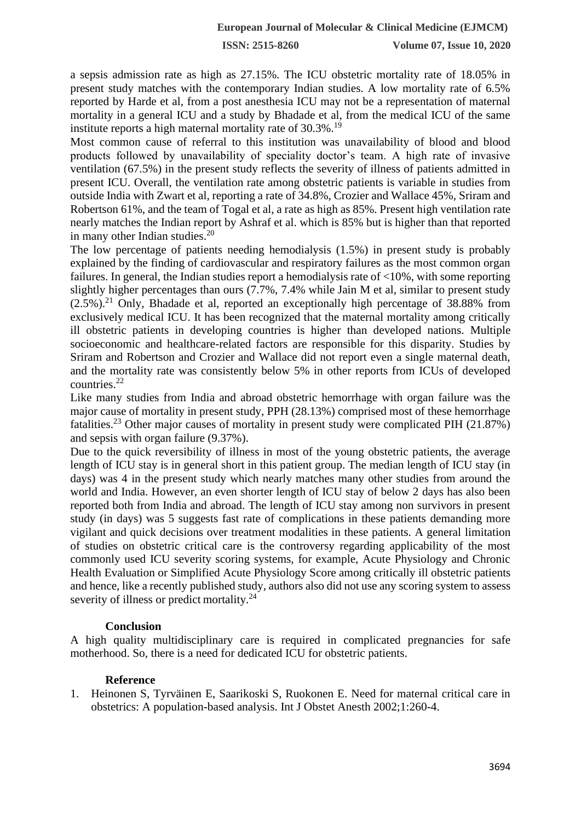a sepsis admission rate as high as 27.15%. The ICU obstetric mortality rate of 18.05% in present study matches with the contemporary Indian studies. A low mortality rate of 6.5% reported by Harde et al, from a post anesthesia ICU may not be a representation of maternal mortality in a general ICU and a study by Bhadade et al, from the medical ICU of the same institute reports a high maternal mortality rate of 30.3%.<sup>19</sup>

Most common cause of referral to this institution was unavailability of blood and blood products followed by unavailability of speciality doctor's team. A high rate of invasive ventilation (67.5%) in the present study reflects the severity of illness of patients admitted in present ICU. Overall, the ventilation rate among obstetric patients is variable in studies from outside India with Zwart et al, reporting a rate of 34.8%, Crozier and Wallace 45%, Sriram and Robertson 61%, and the team of Togal et al, a rate as high as 85%. Present high ventilation rate nearly matches the Indian report by Ashraf et al. which is 85% but is higher than that reported in many other Indian studies.<sup>20</sup>

The low percentage of patients needing hemodialysis (1.5%) in present study is probably explained by the finding of cardiovascular and respiratory failures as the most common organ failures. In general, the Indian studies report a hemodialysis rate of <10%, with some reporting slightly higher percentages than ours (7.7%, 7.4% while Jain M et al, similar to present study  $(2.5\%)$ <sup>21</sup> Only, Bhadade et al, reported an exceptionally high percentage of 38.88% from exclusively medical ICU. It has been recognized that the maternal mortality among critically ill obstetric patients in developing countries is higher than developed nations. Multiple socioeconomic and healthcare-related factors are responsible for this disparity. Studies by Sriram and Robertson and Crozier and Wallace did not report even a single maternal death, and the mortality rate was consistently below 5% in other reports from ICUs of developed countries.<sup>22</sup>

Like many studies from India and abroad obstetric hemorrhage with organ failure was the major cause of mortality in present study, PPH (28.13%) comprised most of these hemorrhage fatalities.<sup>23</sup> Other major causes of mortality in present study were complicated PIH (21.87%) and sepsis with organ failure (9.37%).

Due to the quick reversibility of illness in most of the young obstetric patients, the average length of ICU stay is in general short in this patient group. The median length of ICU stay (in days) was 4 in the present study which nearly matches many other studies from around the world and India. However, an even shorter length of ICU stay of below 2 days has also been reported both from India and abroad. The length of ICU stay among non survivors in present study (in days) was 5 suggests fast rate of complications in these patients demanding more vigilant and quick decisions over treatment modalities in these patients. A general limitation of studies on obstetric critical care is the controversy regarding applicability of the most commonly used ICU severity scoring systems, for example, Acute Physiology and Chronic Health Evaluation or Simplified Acute Physiology Score among critically ill obstetric patients and hence, like a recently published study, authors also did not use any scoring system to assess severity of illness or predict mortality.<sup>24</sup>

## **Conclusion**

A high quality multidisciplinary care is required in complicated pregnancies for safe motherhood. So, there is a need for dedicated ICU for obstetric patients.

## **Reference**

1. Heinonen S, Tyrväinen E, Saarikoski S, Ruokonen E. Need for maternal critical care in obstetrics: A population-based analysis. Int J Obstet Anesth 2002;1:260-4.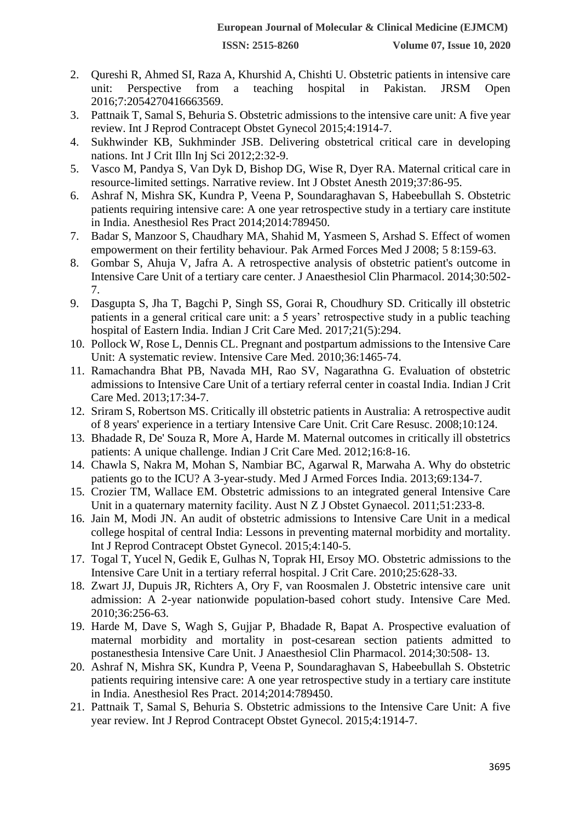- 2. Qureshi R, Ahmed SI, Raza A, Khurshid A, Chishti U. Obstetric patients in intensive care unit: Perspective from a teaching hospital in Pakistan. JRSM Open 2016;7:2054270416663569.
- 3. Pattnaik T, Samal S, Behuria S. Obstetric admissions to the intensive care unit: A five year review. Int J Reprod Contracept Obstet Gynecol 2015;4:1914-7.
- 4. Sukhwinder KB, Sukhminder JSB. Delivering obstetrical critical care in developing nations. Int J Crit Illn Inj Sci 2012;2:32-9.
- 5. Vasco M, Pandya S, Van Dyk D, Bishop DG, Wise R, Dyer RA. Maternal critical care in resource-limited settings. Narrative review. Int J Obstet Anesth 2019;37:86-95.
- 6. Ashraf N, Mishra SK, Kundra P, Veena P, Soundaraghavan S, Habeebullah S. Obstetric patients requiring intensive care: A one year retrospective study in a tertiary care institute in India. Anesthesiol Res Pract 2014;2014:789450.
- 7. Badar S, Manzoor S, Chaudhary MA, Shahid M, Yasmeen S, Arshad S. Effect of women empowerment on their fertility behaviour. Pak Armed Forces Med J 2008; 5 8:159-63.
- 8. Gombar S, Ahuja V, Jafra A. A retrospective analysis of obstetric patient's outcome in Intensive Care Unit of a tertiary care center. J Anaesthesiol Clin Pharmacol. 2014;30:502- 7.
- 9. Dasgupta S, Jha T, Bagchi P, Singh SS, Gorai R, Choudhury SD. Critically ill obstetric patients in a general critical care unit: a 5 years' retrospective study in a public teaching hospital of Eastern India. Indian J Crit Care Med. 2017;21(5):294.
- 10. Pollock W, Rose L, Dennis CL. Pregnant and postpartum admissions to the Intensive Care Unit: A systematic review. Intensive Care Med. 2010;36:1465-74.
- 11. Ramachandra Bhat PB, Navada MH, Rao SV, Nagarathna G. Evaluation of obstetric admissions to Intensive Care Unit of a tertiary referral center in coastal India. Indian J Crit Care Med. 2013;17:34-7.
- 12. Sriram S, Robertson MS. Critically ill obstetric patients in Australia: A retrospective audit of 8 years' experience in a tertiary Intensive Care Unit. Crit Care Resusc. 2008;10:124.
- 13. Bhadade R, De' Souza R, More A, Harde M. Maternal outcomes in critically ill obstetrics patients: A unique challenge. Indian J Crit Care Med. 2012;16:8-16.
- 14. Chawla S, Nakra M, Mohan S, Nambiar BC, Agarwal R, Marwaha A. Why do obstetric patients go to the ICU? A 3-year-study. Med J Armed Forces India. 2013;69:134-7.
- 15. Crozier TM, Wallace EM. Obstetric admissions to an integrated general Intensive Care Unit in a quaternary maternity facility. Aust N Z J Obstet Gynaecol. 2011;51:233-8.
- 16. Jain M, Modi JN. An audit of obstetric admissions to Intensive Care Unit in a medical college hospital of central India: Lessons in preventing maternal morbidity and mortality. Int J Reprod Contracept Obstet Gynecol. 2015;4:140-5.
- 17. Togal T, Yucel N, Gedik E, Gulhas N, Toprak HI, Ersoy MO. Obstetric admissions to the Intensive Care Unit in a tertiary referral hospital. J Crit Care. 2010;25:628-33.
- 18. Zwart JJ, Dupuis JR, Richters A, Ory F, van Roosmalen J. Obstetric intensive care unit admission: A 2-year nationwide population-based cohort study. Intensive Care Med. 2010;36:256-63.
- 19. Harde M, Dave S, Wagh S, Gujjar P, Bhadade R, Bapat A. Prospective evaluation of maternal morbidity and mortality in post-cesarean section patients admitted to postanesthesia Intensive Care Unit. J Anaesthesiol Clin Pharmacol. 2014;30:508- 13.
- 20. Ashraf N, Mishra SK, Kundra P, Veena P, Soundaraghavan S, Habeebullah S. Obstetric patients requiring intensive care: A one year retrospective study in a tertiary care institute in India. Anesthesiol Res Pract. 2014;2014:789450.
- 21. Pattnaik T, Samal S, Behuria S. Obstetric admissions to the Intensive Care Unit: A five year review. Int J Reprod Contracept Obstet Gynecol. 2015;4:1914-7.